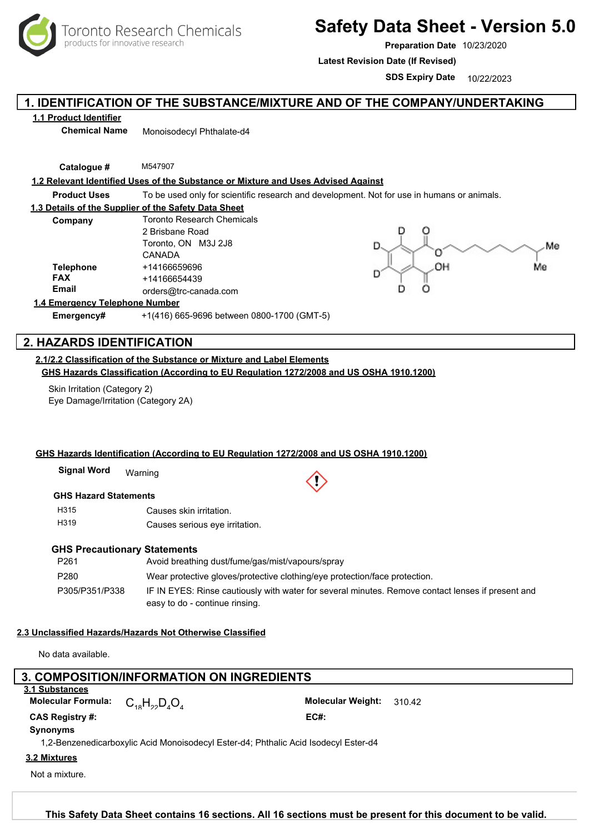

# **Safety Data Sheet - Version 5.0**

**Preparation Date** 10/23/2020

**Latest Revision Date (If Revised)**

**SDS Expiry Date** 10/22/2023

# **1. IDENTIFICATION OF THE SUBSTANCE/MIXTURE AND OF THE COMPANY/UNDERTAKING**

# **1.1 Product Identifier**

**Chemical Name** Monoisodecyl Phthalate-d4

**Catalogue #** M547907

#### **1.2 Relevant Identified Uses of the Substance or Mixture and Uses Advised Against**

**Product Uses** To be used only for scientific research and development. Not for use in humans or animals.

#### **1.3 Details of the Supplier of the Safety Data Sheet**

| Company          | <b>Toronto Research Chemicals</b> |  |  |
|------------------|-----------------------------------|--|--|
|                  | 2 Brisbane Road                   |  |  |
|                  | Toronto, ON M3J 2J8               |  |  |
|                  | CANADA                            |  |  |
| <b>Telephone</b> | +14166659696                      |  |  |
| <b>FAX</b>       | +14166654439                      |  |  |
| <b>Email</b>     | orders@trc-canada.com             |  |  |
|                  |                                   |  |  |



#### **1.4 Emergency Telephone Number**

**Emergency#** +1(416) 665-9696 between 0800-1700 (GMT-5)

# **2. HAZARDS IDENTIFICATION**

**2.1/2.2 Classification of the Substance or Mixture and Label Elements GHS Hazards Classification (According to EU Regulation 1272/2008 and US OSHA 1910.1200)**

Skin Irritation (Category 2) Eye Damage/Irritation (Category 2A)

#### **GHS Hazards Identification (According to EU Regulation 1272/2008 and US OSHA 1910.1200)**

Warning **Signal Word**

#### **GHS Hazard Statements**

H315 H319 Causes skin irritation. Causes serious eye irritation.

#### **GHS Precautionary Statements**

| P <sub>261</sub> | Avoid breathing dust/fume/gas/mist/vapours/spray                                                  |
|------------------|---------------------------------------------------------------------------------------------------|
| P280             | Wear protective gloves/protective clothing/eye protection/face protection.                        |
| P305/P351/P338   | IF IN EYES: Rinse cautiously with water for several minutes. Remove contact lenses if present and |
|                  | easy to do - continue rinsing.                                                                    |

#### **2.3 Unclassified Hazards/Hazards Not Otherwise Classified**

No data available.

# 1,2-Benzenedicarboxylic Acid Monoisodecyl Ester-d4; Phthalic Acid Isodecyl Ester-d4 **Synonyms**  $C_{18}H_{22}D_4O_4$ **Molecular Formula:** C H D O Molecular Weight: 310.42 **CAS Registry #: EC#:** Not a mixture.  **3. COMPOSITION/INFORMATION ON INGREDIENTS 3.1 Substances 3.2 Mixtures**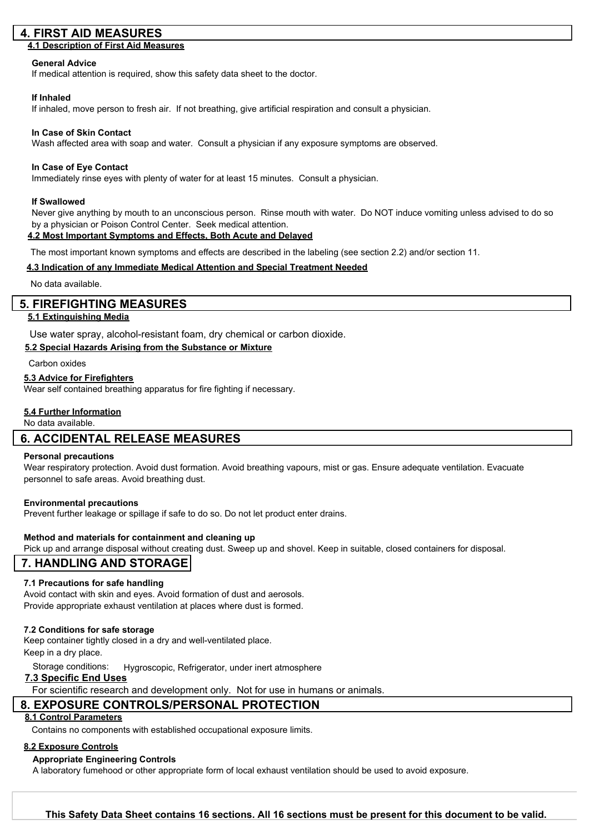# **4. FIRST AID MEASURES**

# **4.1 Description of First Aid Measures**

#### **General Advice**

If medical attention is required, show this safety data sheet to the doctor.

#### **If Inhaled**

If inhaled, move person to fresh air. If not breathing, give artificial respiration and consult a physician.

#### **In Case of Skin Contact**

Wash affected area with soap and water. Consult a physician if any exposure symptoms are observed.

#### **In Case of Eye Contact**

Immediately rinse eyes with plenty of water for at least 15 minutes. Consult a physician.

#### **If Swallowed**

Never give anything by mouth to an unconscious person. Rinse mouth with water. Do NOT induce vomiting unless advised to do so by a physician or Poison Control Center. Seek medical attention.

#### **4.2 Most Important Symptoms and Effects, Both Acute and Delayed**

The most important known symptoms and effects are described in the labeling (see section 2.2) and/or section 11.

#### **4.3 Indication of any Immediate Medical Attention and Special Treatment Needed**

No data available.

### **5. FIREFIGHTING MEASURES**

#### **5.1 Extinguishing Media**

Use water spray, alcohol-resistant foam, dry chemical or carbon dioxide.

### **5.2 Special Hazards Arising from the Substance or Mixture**

Carbon oxides

#### **5.3 Advice for Firefighters**

Wear self contained breathing apparatus for fire fighting if necessary.

#### **5.4 Further Information**

No data available.

# **6. ACCIDENTAL RELEASE MEASURES**

#### **Personal precautions**

Wear respiratory protection. Avoid dust formation. Avoid breathing vapours, mist or gas. Ensure adequate ventilation. Evacuate personnel to safe areas. Avoid breathing dust.

#### **Environmental precautions**

Prevent further leakage or spillage if safe to do so. Do not let product enter drains.

#### **Method and materials for containment and cleaning up**

Pick up and arrange disposal without creating dust. Sweep up and shovel. Keep in suitable, closed containers for disposal.

# **7. HANDLING AND STORAGE**

#### **7.1 Precautions for safe handling**

Avoid contact with skin and eyes. Avoid formation of dust and aerosols. Provide appropriate exhaust ventilation at places where dust is formed.

#### **7.2 Conditions for safe storage**

Keep container tightly closed in a dry and well-ventilated place. Keep in a dry place.

Storage conditions: Hygroscopic, Refrigerator, under inert atmosphere

#### **7.3 Specific End Uses**

For scientific research and development only. Not for use in humans or animals.

# **8. EXPOSURE CONTROLS/PERSONAL PROTECTION**

#### **8.1 Control Parameters**

Contains no components with established occupational exposure limits.

#### **8.2 Exposure Controls**

### **Appropriate Engineering Controls**

A laboratory fumehood or other appropriate form of local exhaust ventilation should be used to avoid exposure.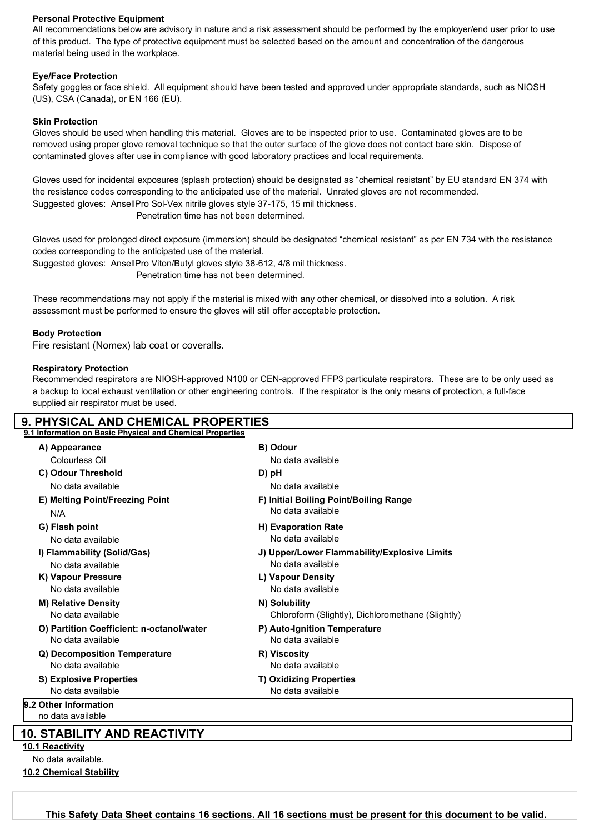#### **Personal Protective Equipment**

All recommendations below are advisory in nature and a risk assessment should be performed by the employer/end user prior to use of this product. The type of protective equipment must be selected based on the amount and concentration of the dangerous material being used in the workplace.

### **Eye/Face Protection**

Safety goggles or face shield. All equipment should have been tested and approved under appropriate standards, such as NIOSH (US), CSA (Canada), or EN 166 (EU).

#### **Skin Protection**

Gloves should be used when handling this material. Gloves are to be inspected prior to use. Contaminated gloves are to be removed using proper glove removal technique so that the outer surface of the glove does not contact bare skin. Dispose of contaminated gloves after use in compliance with good laboratory practices and local requirements.

Gloves used for incidental exposures (splash protection) should be designated as "chemical resistant" by EU standard EN 374 with the resistance codes corresponding to the anticipated use of the material. Unrated gloves are not recommended. Suggested gloves: AnsellPro Sol-Vex nitrile gloves style 37-175, 15 mil thickness. Penetration time has not been determined.

Gloves used for prolonged direct exposure (immersion) should be designated "chemical resistant" as per EN 734 with the resistance codes corresponding to the anticipated use of the material.

Suggested gloves: AnsellPro Viton/Butyl gloves style 38-612, 4/8 mil thickness. Penetration time has not been determined.

These recommendations may not apply if the material is mixed with any other chemical, or dissolved into a solution. A risk assessment must be performed to ensure the gloves will still offer acceptable protection.

#### **Body Protection**

Fire resistant (Nomex) lab coat or coveralls.

#### **Respiratory Protection**

**10.2 Chemical Stability**

Recommended respirators are NIOSH-approved N100 or CEN-approved FFP3 particulate respirators. These are to be only used as a backup to local exhaust ventilation or other engineering controls. If the respirator is the only means of protection, a full-face supplied air respirator must be used.

| <b>9. PHYSICAL AND CHEMICAL PROPERTIES</b>                     |                                                             |
|----------------------------------------------------------------|-------------------------------------------------------------|
| 9.1 Information on Basic Physical and Chemical Properties      |                                                             |
| A) Appearance                                                  | B) Odour                                                    |
| Colourless Oil                                                 | No data available                                           |
| C) Odour Threshold                                             | D) pH                                                       |
| No data available                                              | No data available                                           |
| E) Melting Point/Freezing Point<br>N/A                         | F) Initial Boiling Point/Boiling Range<br>No data available |
| G) Flash point                                                 | <b>H</b> ) Evaporation Rate                                 |
| No data available                                              | No data available                                           |
| I) Flammability (Solid/Gas)                                    | J) Upper/Lower Flammability/Explosive Limits                |
| No data available                                              | No data available                                           |
| K) Vapour Pressure                                             | L) Vapour Density                                           |
| No data available                                              | No data available                                           |
| <b>M) Relative Density</b>                                     | N) Solubility                                               |
| No data available                                              | Chloroform (Slightly), Dichloromethane (Slightly)           |
| O) Partition Coefficient: n-octanol/water<br>No data available | P) Auto-Ignition Temperature<br>No data available           |
| Q) Decomposition Temperature                                   | R) Viscosity                                                |
| No data available                                              | No data available                                           |
| <b>S) Explosive Properties</b>                                 | <b>T) Oxidizing Properties</b>                              |
| No data available                                              | No data available                                           |
| 9.2 Other Information                                          |                                                             |
| no data available                                              |                                                             |
| <b>10. STABILITY AND REACTIVITY</b>                            |                                                             |
| 10.1 Reactivity                                                |                                                             |
| No data available.                                             |                                                             |

Toronto Research Chemicals - M547907 Page <sup>3</sup> **This Safety Data Sheet contains 16 sections. All 16 sections must be present for this document to be valid.**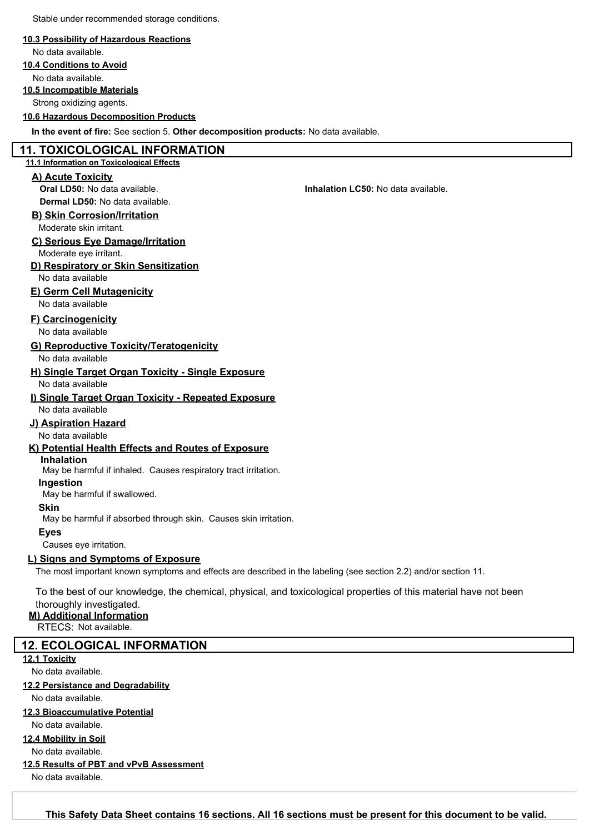Stable under recommended storage conditions.

#### **10.3 Possibility of Hazardous Reactions**

No data available.

**10.4 Conditions to Avoid** No data available.

#### **10.5 Incompatible Materials**

Strong oxidizing agents.

### **10.6 Hazardous Decomposition Products**

**In the event of fire:** See section 5. **Other decomposition products:** No data available.

#### **11. TOXICOLOGICAL INFORMATION**

#### **11.1 Information on Toxicological Effects**

#### **A) Acute Toxicity**

**Oral LD50:** No data available. **Inhalation LC50:** No data available. **Dermal LD50:** No data available.

#### **B) Skin Corrosion/Irritation**

Moderate skin irritant.

#### **C) Serious Eye Damage/Irritation**

Moderate eye irritant.

#### **D) Respiratory or Skin Sensitization**

No data available

# **E) Germ Cell Mutagenicity**

No data available

## **F) Carcinogenicity**

No data available

#### **G) Reproductive Toxicity/Teratogenicity**

#### No data available

**H) Single Target Organ Toxicity - Single Exposure** No data available

# **I) Single Target Organ Toxicity - Repeated Exposure**

No data available

# **J) Aspiration Hazard**

No data available

### **K) Potential Health Effects and Routes of Exposure**

# **Inhalation**

May be harmful if inhaled. Causes respiratory tract irritation.

# **Ingestion**

May be harmful if swallowed.

### **Skin**

May be harmful if absorbed through skin. Causes skin irritation.

#### **Eyes**

Causes eye irritation.

### **L) Signs and Symptoms of Exposure**

The most important known symptoms and effects are described in the labeling (see section 2.2) and/or section 11.

To the best of our knowledge, the chemical, physical, and toxicological properties of this material have not been thoroughly investigated.

# **M) Additional Information**

RTECS: Not available.

# **12. ECOLOGICAL INFORMATION**

**12.1 Toxicity**

### No data available.

### **12.2 Persistance and Degradability**

No data available.

# **12.3 Bioaccumulative Potential**

No data available.

### **12.4 Mobility in Soil**

No data available.

# **12.5 Results of PBT and vPvB Assessment**

No data available.

Toronto Research Chemicals - M547907 Page <sup>4</sup> **This Safety Data Sheet contains 16 sections. All 16 sections must be present for this document to be valid.**